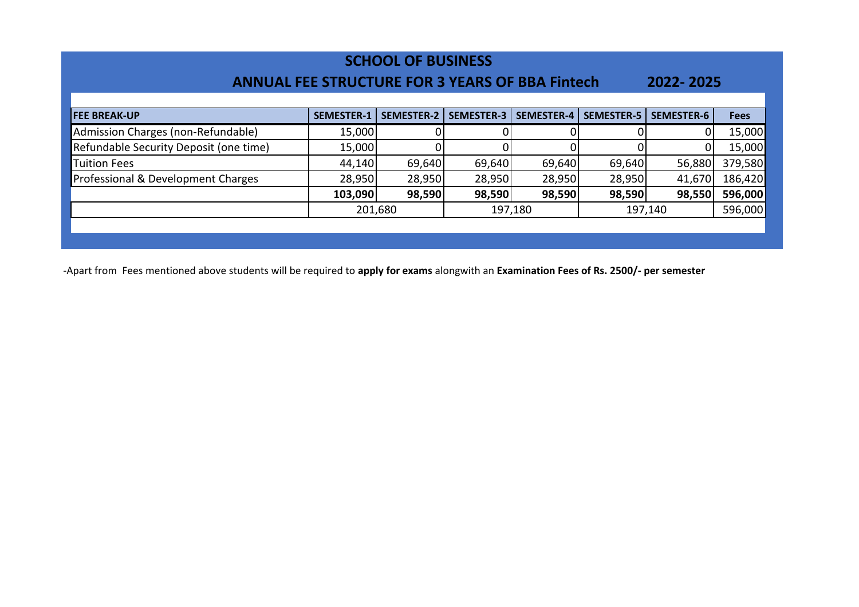| <b>SCHOOL OF BUSINESS</b><br><b>ANNUAL FEE STRUCTURE FOR 3 YEARS OF BBA Fintech</b><br>2022-2025 |                   |                   |                   |                   |                   |                   |             |  |
|--------------------------------------------------------------------------------------------------|-------------------|-------------------|-------------------|-------------------|-------------------|-------------------|-------------|--|
| <b>FEE BREAK-UP</b>                                                                              | <b>SEMESTER-1</b> | <b>SEMESTER-2</b> | <b>SEMESTER-3</b> | <b>SEMESTER-4</b> | <b>SEMESTER-5</b> | <b>SEMESTER-6</b> | <b>Fees</b> |  |
| Admission Charges (non-Refundable)                                                               | 15,000            |                   |                   |                   |                   |                   | 15,000      |  |
| Refundable Security Deposit (one time)                                                           | 15,000            |                   |                   |                   |                   | 0                 | 15,000      |  |
| <b>Tuition Fees</b>                                                                              | 44,140            | 69,640            | 69,640            | 69,640            | 69,640            | 56,880            | 379,580     |  |
| Professional & Development Charges                                                               | 28,950            | 28,950            | 28,950            | 28,950            | 28,950            | 41,670            | 186,420     |  |
|                                                                                                  | 103,090           | 98,590            | 98,590            | 98,590            | 98,590            | 98,550            | 596,000     |  |
|                                                                                                  |                   | 201,680           |                   | 197,180           |                   | 197,140           | 596,000     |  |
|                                                                                                  |                   |                   |                   |                   |                   |                   |             |  |
|                                                                                                  |                   |                   |                   |                   |                   |                   |             |  |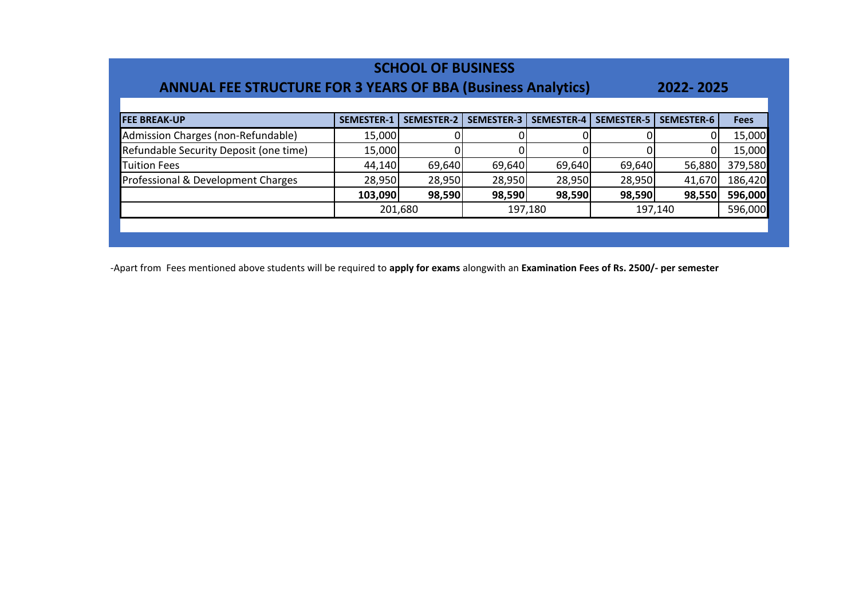| <b>SCHOOL OF BUSINESS</b><br><b>ANNUAL FEE STRUCTURE FOR 3 YEARS OF BBA (Business Analytics)</b><br>2022-2025 |                   |                   |                   |                   |                   |            |             |  |  |
|---------------------------------------------------------------------------------------------------------------|-------------------|-------------------|-------------------|-------------------|-------------------|------------|-------------|--|--|
| <b>FEE BREAK-UP</b>                                                                                           | <b>SEMESTER-1</b> | <b>SEMESTER-2</b> | <b>SEMESTER-3</b> | <b>SEMESTER-4</b> | <b>SEMESTER-5</b> | SEMESTER-6 | <b>Fees</b> |  |  |
| Admission Charges (non-Refundable)                                                                            | 15,000            |                   |                   |                   |                   |            | 15,000      |  |  |
| Refundable Security Deposit (one time)                                                                        | 15,000            |                   |                   |                   |                   |            | 15,000      |  |  |
| <b>Tuition Fees</b>                                                                                           | 44,140            | 69,640            | 69,640            | 69,640            | 69,640            | 56,880     | 379,580     |  |  |
| Professional & Development Charges                                                                            | 28,950            | 28,950            | 28,950            | 28,950            | 28,950            | 41,670     | 186,420     |  |  |
|                                                                                                               | 103,090           | 98,590            | 98,590            | 98,590            | 98,590            | 98,550     | 596,000     |  |  |
|                                                                                                               |                   | 201,680           |                   | 197,180           |                   | 197,140    | 596,000     |  |  |
|                                                                                                               |                   |                   |                   |                   |                   |            |             |  |  |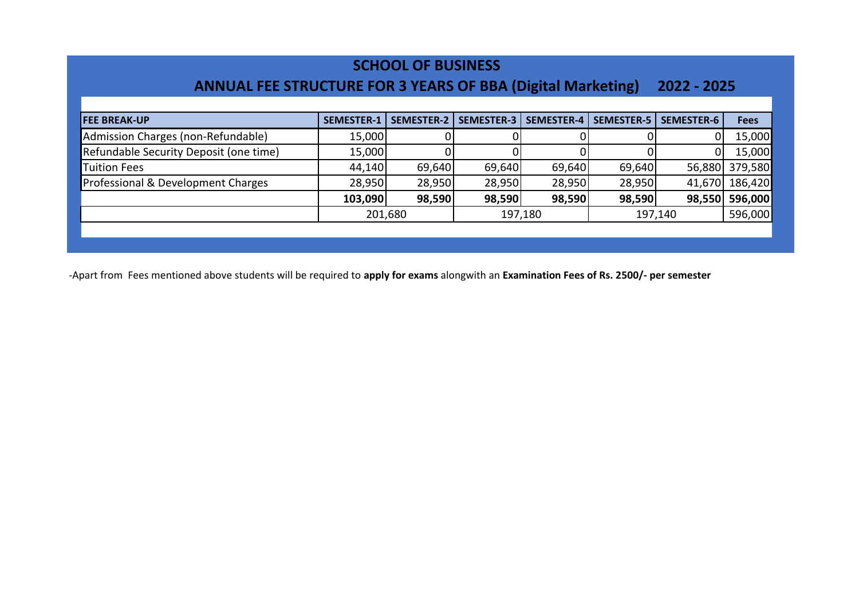### **SCHOOL OF BUSINESS**

## **ANNUAL FEE STRUCTURE FOR 3 YEARS OF BBA (Digital Marketing) 2022 - 2025**

| <b>FEE BREAK-UP</b>                    | <b>SEMESTER-1</b> | <b>SEMESTER-2</b> | <b>SEMESTER-3</b> | <b>SEMESTER-4</b> | SEMESTER-5 | <b>SEMESTER-6</b> | <b>Fees</b>    |
|----------------------------------------|-------------------|-------------------|-------------------|-------------------|------------|-------------------|----------------|
| Admission Charges (non-Refundable)     | 15,000            |                   |                   |                   |            | 0                 | 15,000         |
| Refundable Security Deposit (one time) | 15,000            |                   |                   |                   |            | ΩI                | 15,000         |
| <b>Tuition Fees</b>                    | 44,140            | 69,640            | 69,640            | 69,640            | 69,640     |                   | 56,880 379,580 |
| Professional & Development Charges     | 28,950            | 28,950            | 28,950            | 28,950            | 28,950     |                   | 41,670 186,420 |
|                                        | 103,090           | 98,590            | 98,590            | 98,590            | 98,590     |                   | 98,550 596,000 |
|                                        |                   | 201,680           |                   | 197,180           |            | 197,140           | 596,000        |
|                                        |                   |                   |                   |                   |            |                   |                |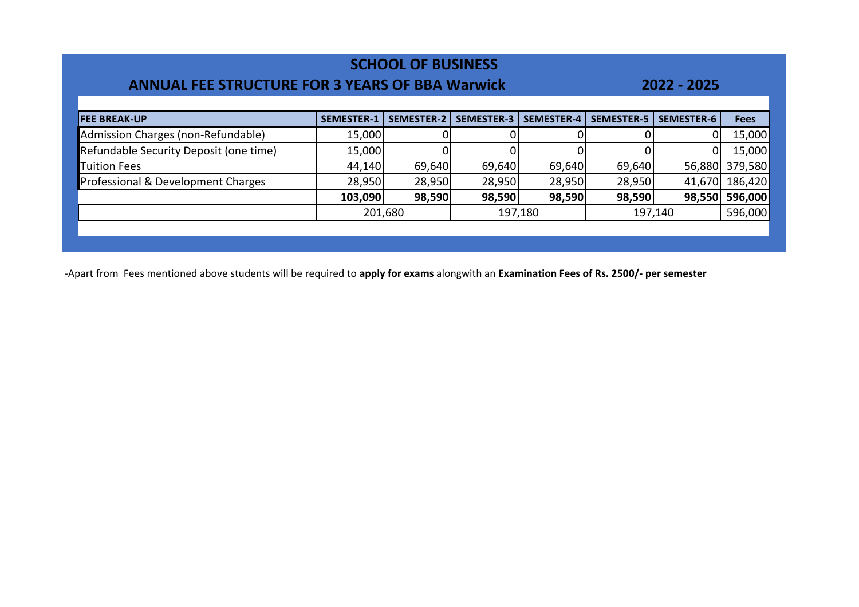| <b>ANNUAL FEE STRUCTURE FOR 3 YEARS OF BBA Warwick</b> |                   | <b>SCHOOL OF BUSINESS</b> |                   |                   |                   | 2022 - 2025       |             |
|--------------------------------------------------------|-------------------|---------------------------|-------------------|-------------------|-------------------|-------------------|-------------|
| <b>FEE BREAK-UP</b>                                    | <b>SEMESTER-1</b> | <b>SEMESTER-2</b>         | <b>SEMESTER-3</b> | <b>SEMESTER-4</b> | <b>SEMESTER-5</b> | <b>SEMESTER-6</b> | <b>Fees</b> |
| Admission Charges (non-Refundable)                     | 15,000            |                           |                   |                   |                   |                   | 15,000      |
| Refundable Security Deposit (one time)                 | 15,000            |                           |                   |                   |                   |                   | 15,000      |
| <b>Tuition Fees</b>                                    | 44,140            | 69,640                    | 69,640            | 69,640            | 69,640            | 56,880            | 379,580     |
| Professional & Development Charges                     | 28,950            | 28,950                    | 28,950            | 28,950            | 28,950            | 41,670            | 186,420     |
|                                                        | 103,090           | 98,590                    | 98,590            | 98,590            | 98,590            | 98,550            | 596,000     |
|                                                        |                   | 201,680                   |                   | 197,180           |                   | 197,140           | 596,000     |
|                                                        |                   |                           |                   |                   |                   |                   |             |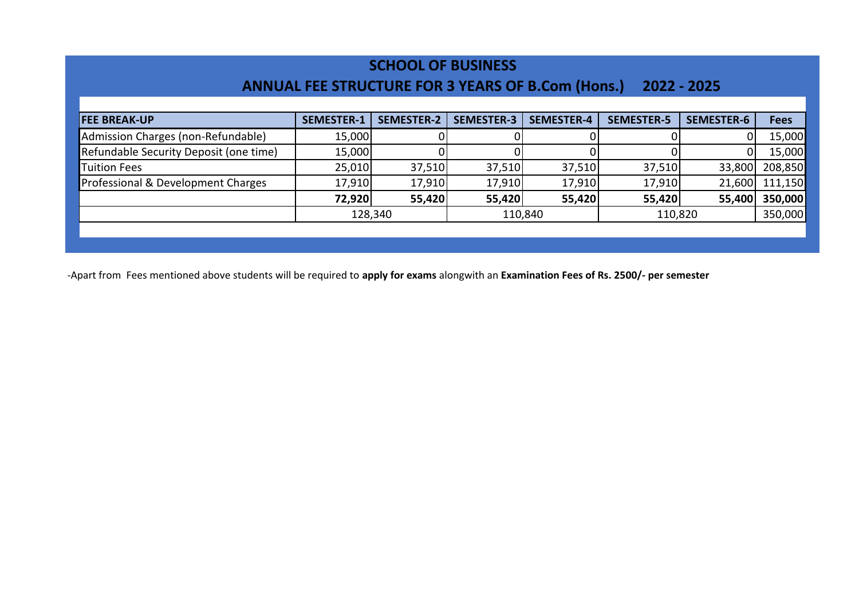#### **SCHOOL OF BUSINESS**

### **ANNUAL FEE STRUCTURE FOR 3 YEARS OF B.Com (Hons.) 2022 - 2025**

| <b>FEE BREAK-UP</b>                    | <b>SEMESTER-1</b> | <b>SEMESTER-2</b> | <b>SEMESTER-3</b> | <b>SEMESTER-4</b> | <b>SEMESTER-5</b> | <b>SEMESTER-6</b> | <b>Fees</b> |
|----------------------------------------|-------------------|-------------------|-------------------|-------------------|-------------------|-------------------|-------------|
| Admission Charges (non-Refundable)     | 15,000            |                   |                   |                   |                   |                   | 15,000      |
| Refundable Security Deposit (one time) | 15,000            |                   |                   |                   |                   |                   | 15,000      |
| <b>Tuition Fees</b>                    | 25,010            | 37,510            | 37,510            | 37,510            | 37,510            | 33,800            | 208,850     |
| Professional & Development Charges     | 17,910            | 17,910            | 17,910            | 17,910            | 17,910            | 21,600            | 111,150     |
|                                        | 72,920            | 55,420            | 55,420            | 55,420            | 55,420            | 55,400            | 350,000     |
|                                        |                   | 128,340           | 110,840           |                   | 110,820           |                   | 350,000     |
|                                        |                   |                   |                   |                   |                   |                   |             |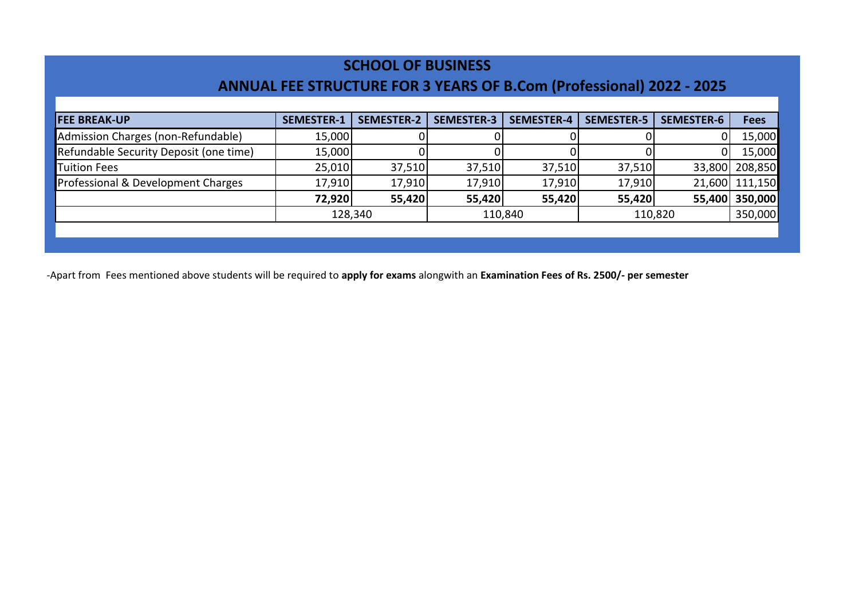### **SCHOOL OF BUSINESS**

# **ANNUAL FEE STRUCTURE FOR 3 YEARS OF B.Com (Professional) 2022 - 2025**

| <b>FEE BREAK-UP</b>                    | <b>SEMESTER-1</b> | <b>SEMESTER-2</b> | <b>SEMESTER-3</b> | <b>SEMESTER-4</b> | <b>SEMESTER-5</b> | <b>SEMESTER-6</b> | <b>Fees</b>    |
|----------------------------------------|-------------------|-------------------|-------------------|-------------------|-------------------|-------------------|----------------|
| Admission Charges (non-Refundable)     | 15,000            |                   |                   |                   |                   |                   | 15,000         |
| Refundable Security Deposit (one time) | 15,000            |                   |                   |                   |                   |                   | 15,000         |
| <b>Tuition Fees</b>                    | 25,010            | 37,510            | 37,510            | 37,510            | 37,510            |                   | 33,800 208,850 |
| Professional & Development Charges     | 17,910            | 17,910            | 17,910            | 17,910            | 17,910            |                   | 21,600 111,150 |
|                                        | 72,920            | 55,420            | 55,420            | 55,420            | 55,420            |                   | 55,400 350,000 |
|                                        |                   | 128,340           |                   | 110,840           |                   | 110,820           | 350,000        |
|                                        |                   |                   |                   |                   |                   |                   |                |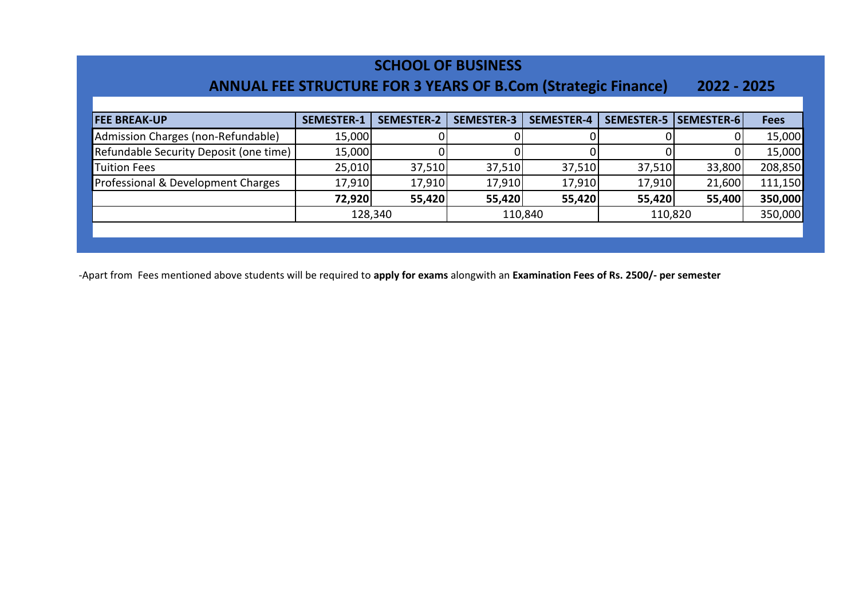### **ANNUAL FEE STRUCTURE FOR 3 YEARS OF B.Com (Strategic Finance) 2022 - 2025**

| <b>FEE BREAK-UP</b>                    | <b>SEMESTER-1</b> | <b>SEMESTER-2</b> | <b>SEMESTER-3</b> | <b>SEMESTER-4</b> | SEMESTER-5   SEMESTER-6 |        | <b>Fees</b> |
|----------------------------------------|-------------------|-------------------|-------------------|-------------------|-------------------------|--------|-------------|
| Admission Charges (non-Refundable)     | 15,000            |                   |                   |                   |                         |        | 15,000      |
| Refundable Security Deposit (one time) | 15,000            |                   |                   |                   |                         |        | 15,000      |
| <b>Tuition Fees</b>                    | 25,010            | 37,510            | 37,510            | 37,510            | 37,510                  | 33,800 | 208,850     |
| Professional & Development Charges     | 17,910            | 17,910            | 17,910            | 17,910            | 17,910                  | 21,600 | 111,150     |
|                                        | 72,920            | 55,420            | 55,420            | 55,420            | 55,420                  | 55,400 | 350,000     |
|                                        |                   | 128,340           |                   | 110,840           | 110,820                 |        | 350,000     |
|                                        |                   |                   |                   |                   |                         |        |             |
|                                        |                   |                   |                   |                   |                         |        |             |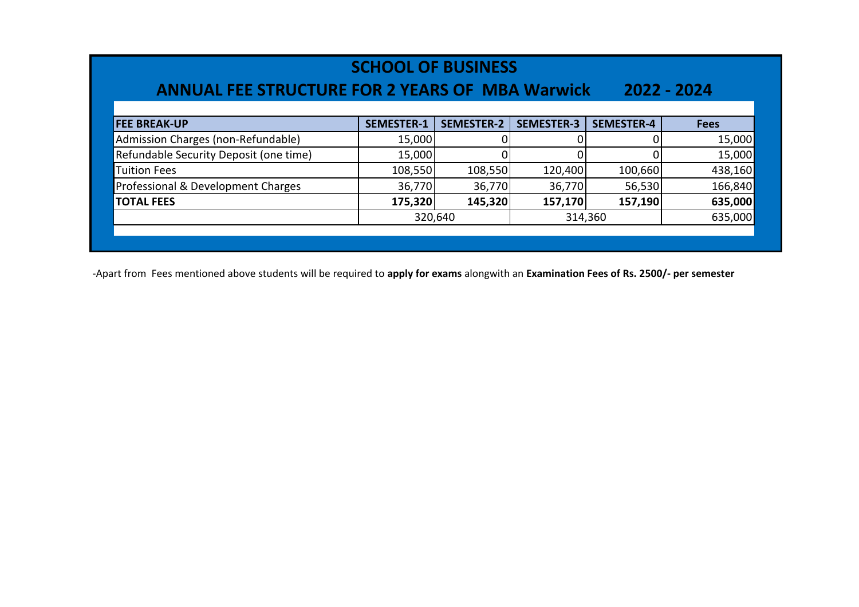| <b>SCHOOL OF BUSINESS</b><br><b>ANNUAL FEE STRUCTURE FOR 2 YEARS OF MBA Warwick</b><br>2022 - 2024 |                   |                   |                   |                   |             |  |  |
|----------------------------------------------------------------------------------------------------|-------------------|-------------------|-------------------|-------------------|-------------|--|--|
| <b>FEE BREAK-UP</b>                                                                                | <b>SEMESTER-1</b> | <b>SEMESTER-2</b> | <b>SEMESTER-3</b> | <b>SEMESTER-4</b> | <b>Fees</b> |  |  |
| Admission Charges (non-Refundable)                                                                 | 15,000            |                   |                   |                   | 15,000      |  |  |
| Refundable Security Deposit (one time)                                                             | 15,000            |                   |                   |                   | 15,000      |  |  |
| <b>Tuition Fees</b>                                                                                | 108,550           | 108,550           | 120,400           | 100,660           | 438,160     |  |  |
| Professional & Development Charges                                                                 | 36,770            | 36,770            | 36,770            | 56,530            | 166,840     |  |  |
| <b>TOTAL FEES</b>                                                                                  | 175,320           | 145,320           | 157,170           | 157,190           | 635,000     |  |  |
|                                                                                                    |                   | 320,640           | 314,360           |                   | 635,000     |  |  |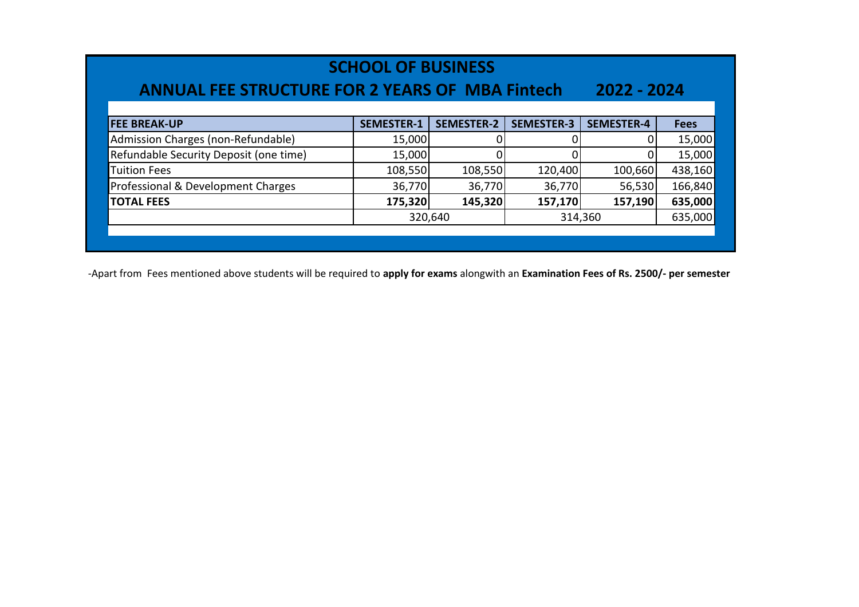| <b>ANNUAL FEE STRUCTURE FOR 2 YEARS OF MBA Fintech</b> | <b>SCHOOL OF BUSINESS</b> |                   |                   | 2022 - 2024       |             |
|--------------------------------------------------------|---------------------------|-------------------|-------------------|-------------------|-------------|
| <b>FEE BREAK-UP</b>                                    | <b>SEMESTER-1</b>         | <b>SEMESTER-2</b> | <b>SEMESTER-3</b> | <b>SEMESTER-4</b> | <b>Fees</b> |
| Admission Charges (non-Refundable)                     | 15,000                    | 0                 |                   | 0                 | 15,000      |
| Refundable Security Deposit (one time)                 | 15,000                    |                   |                   | 0                 | 15,000      |
| <b>Tuition Fees</b>                                    | 108,550                   | 108,550           | 120,400           | 100,660           | 438,160     |
| Professional & Development Charges                     | 36,770                    | 36,770            | 36,770            | 56,530            | 166,840     |
| <b>TOTAL FEES</b>                                      | 175,320                   | 145,320           | 157,170           | 157,190           | 635,000     |
|                                                        |                           | 320,640           |                   | 314,360           | 635,000     |
|                                                        |                           |                   |                   |                   |             |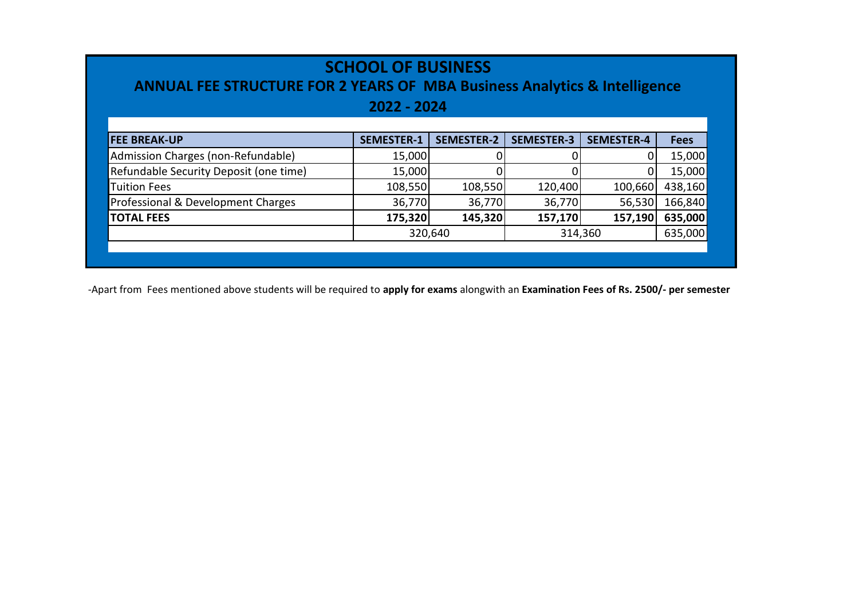| <b>ANNUAL FEE STRUCTURE FOR 2 YEARS OF MBA Business Analytics &amp; Intelligence</b> | <b>SCHOOL OF BUSINESS</b><br>2022 - 2024 |                   |                   |                   |             |  |  |  |
|--------------------------------------------------------------------------------------|------------------------------------------|-------------------|-------------------|-------------------|-------------|--|--|--|
| <b>FEE BREAK-UP</b>                                                                  | <b>SEMESTER-1</b>                        | <b>SEMESTER-2</b> | <b>SEMESTER-3</b> | <b>SEMESTER-4</b> | <b>Fees</b> |  |  |  |
| Admission Charges (non-Refundable)                                                   | 15,000                                   |                   |                   | 01                | 15,000      |  |  |  |
| Refundable Security Deposit (one time)                                               | 15,000                                   |                   |                   |                   | 15,000      |  |  |  |
| <b>Tuition Fees</b>                                                                  | 108,550                                  | 108,550           | 120,400           | 100,660           | 438,160     |  |  |  |
| Professional & Development Charges                                                   | 36,770                                   | 36,770            | 36,770            | 56,530            | 166,840     |  |  |  |
| <b>TOTAL FEES</b>                                                                    | 175,320                                  | 145,320           | 157,170           | 157,190           | 635,000     |  |  |  |
| 320,640<br>635,000<br>314,360                                                        |                                          |                   |                   |                   |             |  |  |  |
|                                                                                      |                                          |                   |                   |                   |             |  |  |  |